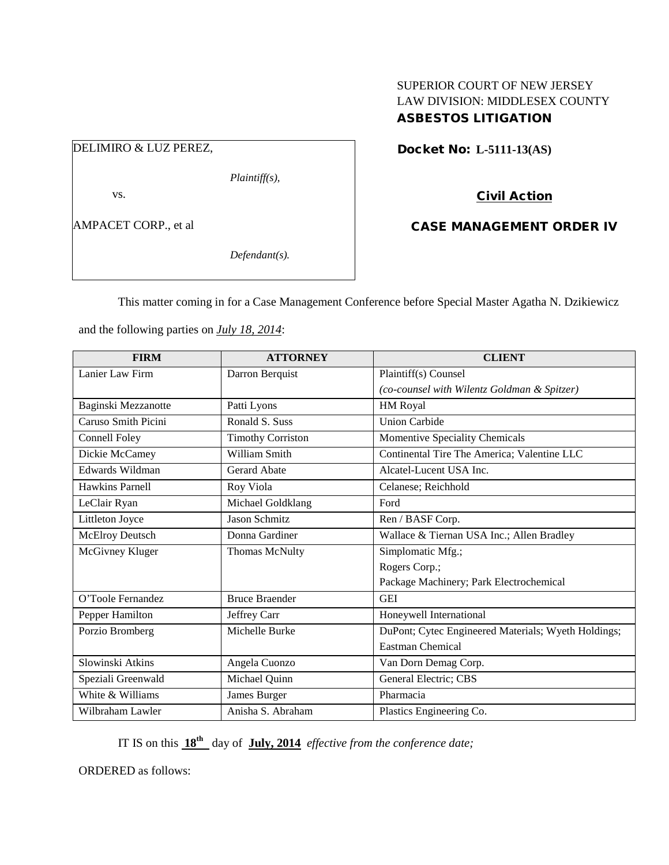## SUPERIOR COURT OF NEW JERSEY LAW DIVISION: MIDDLESEX COUNTY ASBESTOS LITIGATION

# DELIMIRO & LUZ PEREZ,

*Plaintiff(s),*

vs.

AMPACET CORP., et al

*Defendant(s).*

Docket No: **L-5111-13(AS)** 

## Civil Action

## CASE MANAGEMENT ORDER IV

This matter coming in for a Case Management Conference before Special Master Agatha N. Dzikiewicz

and the following parties on *July 18, 2014*:

| <b>FIRM</b>            | <b>ATTORNEY</b>          | <b>CLIENT</b>                                       |
|------------------------|--------------------------|-----------------------------------------------------|
| Lanier Law Firm        | Darron Berquist          | Plaintiff(s) Counsel                                |
|                        |                          | (co-counsel with Wilentz Goldman & Spitzer)         |
| Baginski Mezzanotte    | Patti Lyons              | HM Royal                                            |
| Caruso Smith Picini    | Ronald S. Suss           | <b>Union Carbide</b>                                |
| <b>Connell Foley</b>   | <b>Timothy Corriston</b> | Momentive Speciality Chemicals                      |
| Dickie McCamey         | William Smith            | Continental Tire The America; Valentine LLC         |
| Edwards Wildman        | <b>Gerard Abate</b>      | Alcatel-Lucent USA Inc.                             |
| Hawkins Parnell        | Roy Viola                | Celanese; Reichhold                                 |
| LeClair Ryan           | Michael Goldklang        | Ford                                                |
| Littleton Joyce        | <b>Jason Schmitz</b>     | Ren / BASF Corp.                                    |
| <b>McElroy Deutsch</b> | Donna Gardiner           | Wallace & Tiernan USA Inc.; Allen Bradley           |
| McGivney Kluger        | Thomas McNulty           | Simplomatic Mfg.;                                   |
|                        |                          | Rogers Corp.;                                       |
|                        |                          | Package Machinery; Park Electrochemical             |
| O'Toole Fernandez      | <b>Bruce Braender</b>    | <b>GEI</b>                                          |
| Pepper Hamilton        | Jeffrey Carr             | Honeywell International                             |
| Porzio Bromberg        | Michelle Burke           | DuPont; Cytec Engineered Materials; Wyeth Holdings; |
|                        |                          | <b>Eastman Chemical</b>                             |
| Slowinski Atkins       | Angela Cuonzo            | Van Dorn Demag Corp.                                |
| Speziali Greenwald     | Michael Quinn            | General Electric; CBS                               |
| White & Williams       | James Burger             | Pharmacia                                           |
| Wilbraham Lawler       | Anisha S. Abraham        | Plastics Engineering Co.                            |

IT IS on this **18th** day of **July, 2014** *effective from the conference date;*

ORDERED as follows: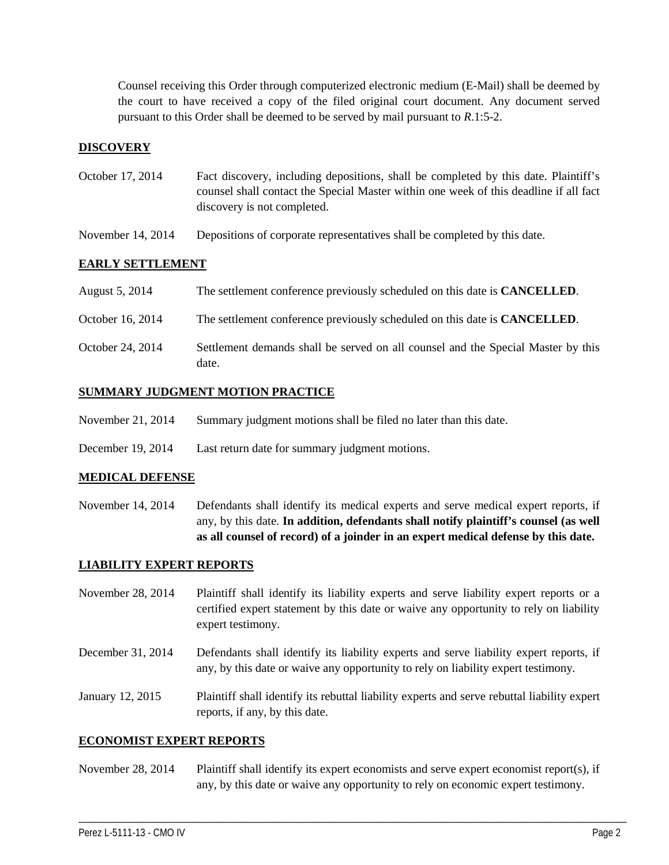Counsel receiving this Order through computerized electronic medium (E-Mail) shall be deemed by the court to have received a copy of the filed original court document. Any document served pursuant to this Order shall be deemed to be served by mail pursuant to *R*.1:5-2.

## **DISCOVERY**

- October 17, 2014 Fact discovery, including depositions, shall be completed by this date. Plaintiff's counsel shall contact the Special Master within one week of this deadline if all fact discovery is not completed.
- November 14, 2014 Depositions of corporate representatives shall be completed by this date.

### **EARLY SETTLEMENT**

| August 5, 2014   | The settlement conference previously scheduled on this date is <b>CANCELLED</b> .         |
|------------------|-------------------------------------------------------------------------------------------|
| October 16, 2014 | The settlement conference previously scheduled on this date is <b>CANCELLED</b> .         |
| October 24, 2014 | Settlement demands shall be served on all counsel and the Special Master by this<br>date. |

### **SUMMARY JUDGMENT MOTION PRACTICE**

- November 21, 2014 Summary judgment motions shall be filed no later than this date.
- December 19, 2014 Last return date for summary judgment motions.

#### **MEDICAL DEFENSE**

November 14, 2014 Defendants shall identify its medical experts and serve medical expert reports, if any, by this date. **In addition, defendants shall notify plaintiff's counsel (as well as all counsel of record) of a joinder in an expert medical defense by this date.**

#### **LIABILITY EXPERT REPORTS**

November 28, 2014 Plaintiff shall identify its liability experts and serve liability expert reports or a certified expert statement by this date or waive any opportunity to rely on liability expert testimony.

December 31, 2014 Defendants shall identify its liability experts and serve liability expert reports, if any, by this date or waive any opportunity to rely on liability expert testimony.

January 12, 2015 Plaintiff shall identify its rebuttal liability experts and serve rebuttal liability expert reports, if any, by this date.

#### **ECONOMIST EXPERT REPORTS**

November 28, 2014 Plaintiff shall identify its expert economists and serve expert economist report(s), if any, by this date or waive any opportunity to rely on economic expert testimony.

\_\_\_\_\_\_\_\_\_\_\_\_\_\_\_\_\_\_\_\_\_\_\_\_\_\_\_\_\_\_\_\_\_\_\_\_\_\_\_\_\_\_\_\_\_\_\_\_\_\_\_\_\_\_\_\_\_\_\_\_\_\_\_\_\_\_\_\_\_\_\_\_\_\_\_\_\_\_\_\_\_\_\_\_\_\_\_\_\_\_\_\_\_\_\_\_\_\_\_\_\_\_\_\_\_\_\_\_\_\_